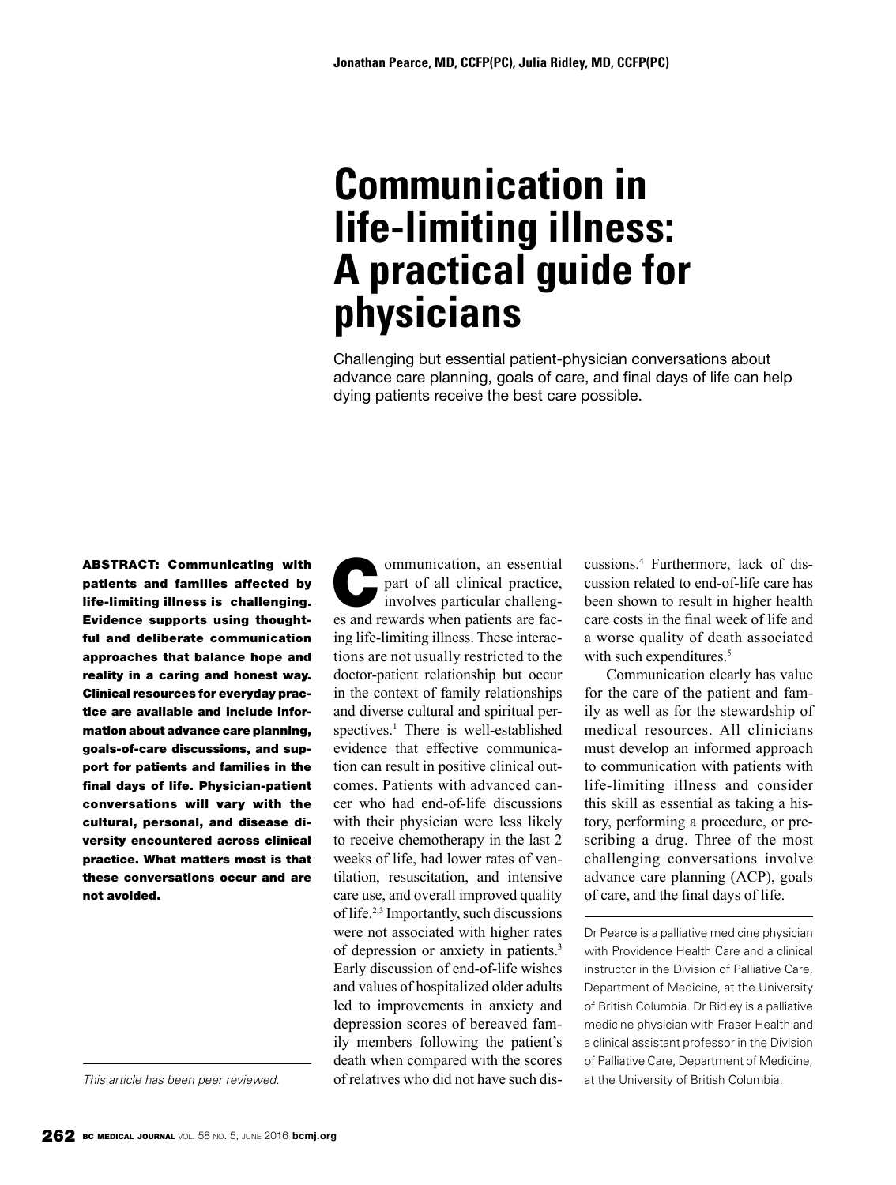# **Communication in life-limiting illness: A practical guide for physicians**

Challenging but essential patient-physician conversations about advance care planning, goals of care, and final days of life can help dying patients receive the best care possible.

ABSTRACT: Communicating with patients and families affected by life-limiting illness is challenging. Evidence supports using thoughtful and deliberate communication approaches that balance hope and reality in a caring and honest way. Clinical resources for everyday practice are available and include information about advance care planning, goals-of-care discussions, and support for patients and families in the final days of life. Physician-patient conversations will vary with the cultural, personal, and disease diversity encountered across clinical practice. What matters most is that these conversations occur and are not avoided.

Communication, an essential<br>part of all clinical practice,<br>involves particular challengpart of all clinical practice, involves particular challenges and rewards when patients are facing life-limiting illness. These interactions are not usually restricted to the doctor-patient relationship but occur in the context of family relationships and diverse cultural and spiritual perspectives.<sup>1</sup> There is well-established evidence that effective communication can result in positive clinical outcomes. Patients with advanced cancer who had end-of-life discussions with their physician were less likely to receive chemotherapy in the last 2 weeks of life, had lower rates of ventilation, resuscitation, and intensive care use, and overall improved quality of life.2,3 Importantly, such discussions were not associated with higher rates of depression or anxiety in patients.3 Early discussion of end-of-life wishes and values of hospitalized older adults led to improvements in anxiety and depression scores of bereaved family members following the patient's death when compared with the scores of relatives who did not have such dis-

cussions.4 Furthermore, lack of discussion related to end-of-life care has been shown to result in higher health care costs in the final week of life and a worse quality of death associated with such expenditures.<sup>5</sup>

Communication clearly has value for the care of the patient and family as well as for the stewardship of medical resources. All clinicians must develop an informed approach to communication with patients with life-limiting illness and consider this skill as essential as taking a history, performing a procedure, or prescribing a drug. Three of the most challenging conversations involve advance care planning (ACP), goals of care, and the final days of life.

Dr Pearce is a palliative medicine physician with Providence Health Care and a clinical instructor in the Division of Palliative Care, Department of Medicine, at the University of British Columbia. Dr Ridley is a palliative medicine physician with Fraser Health and a clinical assistant professor in the Division of Palliative Care, Department of Medicine, at the University of British Columbia.

*This article has been peer reviewed.*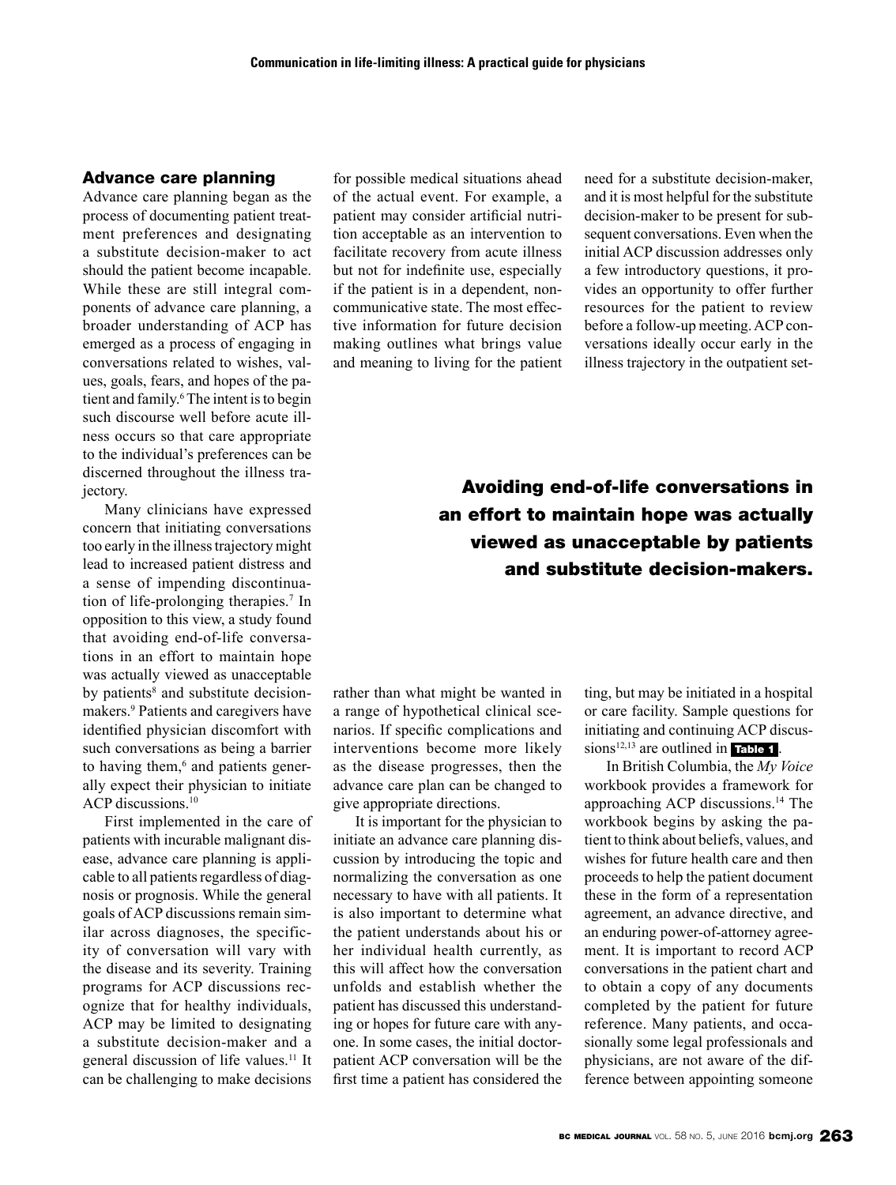#### Advance care planning

Advance care planning began as the process of documenting patient treatment preferences and designating a substitute decision-maker to act should the patient become incapable. While these are still integral components of advance care planning, a broader understanding of ACP has emerged as a process of engaging in conversations related to wishes, values, goals, fears, and hopes of the patient and family.<sup>6</sup> The intent is to begin such discourse well before acute illness occurs so that care appropriate to the individual's preferences can be discerned throughout the illness trajectory.

Many clinicians have expressed concern that initiating conversations too early in the illness trajectory might lead to increased patient distress and a sense of impending discontinuation of life-prolonging therapies.7 In opposition to this view, a study found that avoiding end-of-life conversations in an effort to maintain hope was actually viewed as unacceptable by patients<sup>8</sup> and substitute decisionmakers.9 Patients and caregivers have identified physician discomfort with such conversations as being a barrier to having them,<sup>6</sup> and patients generally expect their physician to initiate ACP discussions.<sup>10</sup>

First implemented in the care of patients with incurable malignant disease, advance care planning is applicable to all patients regardless of diagnosis or prognosis. While the general goals of ACP discussions remain similar across diagnoses, the specificity of conversation will vary with the disease and its severity. Training programs for ACP discussions recognize that for healthy individuals, ACP may be limited to designating a substitute decision-maker and a general discussion of life values.11 It can be challenging to make decisions

for possible medical situations ahead of the actual event. For example, a patient may consider artificial nutrition acceptable as an intervention to facilitate recovery from acute illness but not for indefinite use, especially if the patient is in a dependent, noncommunicative state. The most effective information for future decision making outlines what brings value and meaning to living for the patient

need for a substitute decision-maker, and it is most helpful for the substitute decision-maker to be present for subsequent conversations. Even when the initial ACP discussion addresses only a few introductory questions, it provides an opportunity to offer further resources for the patient to review before a follow-up meeting. ACP conversations ideally occur early in the illness trajectory in the outpatient set-

# Avoiding end-of-life conversations in an effort to maintain hope was actually viewed as unacceptable by patients and substitute decision-makers.

rather than what might be wanted in a range of hypothetical clinical scenarios. If specific complications and interventions become more likely as the disease progresses, then the advance care plan can be changed to give appropriate directions.

It is important for the physician to initiate an advance care planning discussion by introducing the topic and normalizing the conversation as one necessary to have with all patients. It is also important to determine what the patient understands about his or her individual health currently, as this will affect how the conversation unfolds and establish whether the patient has discussed this understanding or hopes for future care with anyone. In some cases, the initial doctorpatient ACP conversation will be the first time a patient has considered the

ting, but may be initiated in a hospital or care facility. Sample questions for initiating and continuing ACP discussions<sup>12,13</sup> are outlined in Table 1.

In British Columbia, the *My Voice* workbook provides a framework for approaching ACP discussions.14 The workbook begins by asking the patient to think about beliefs, values, and wishes for future health care and then proceeds to help the patient document these in the form of a representation agreement, an advance directive, and an enduring power-of-attorney agreement. It is important to record ACP conversations in the patient chart and to obtain a copy of any documents completed by the patient for future reference. Many patients, and occasionally some legal professionals and physicians, are not aware of the difference between appointing someone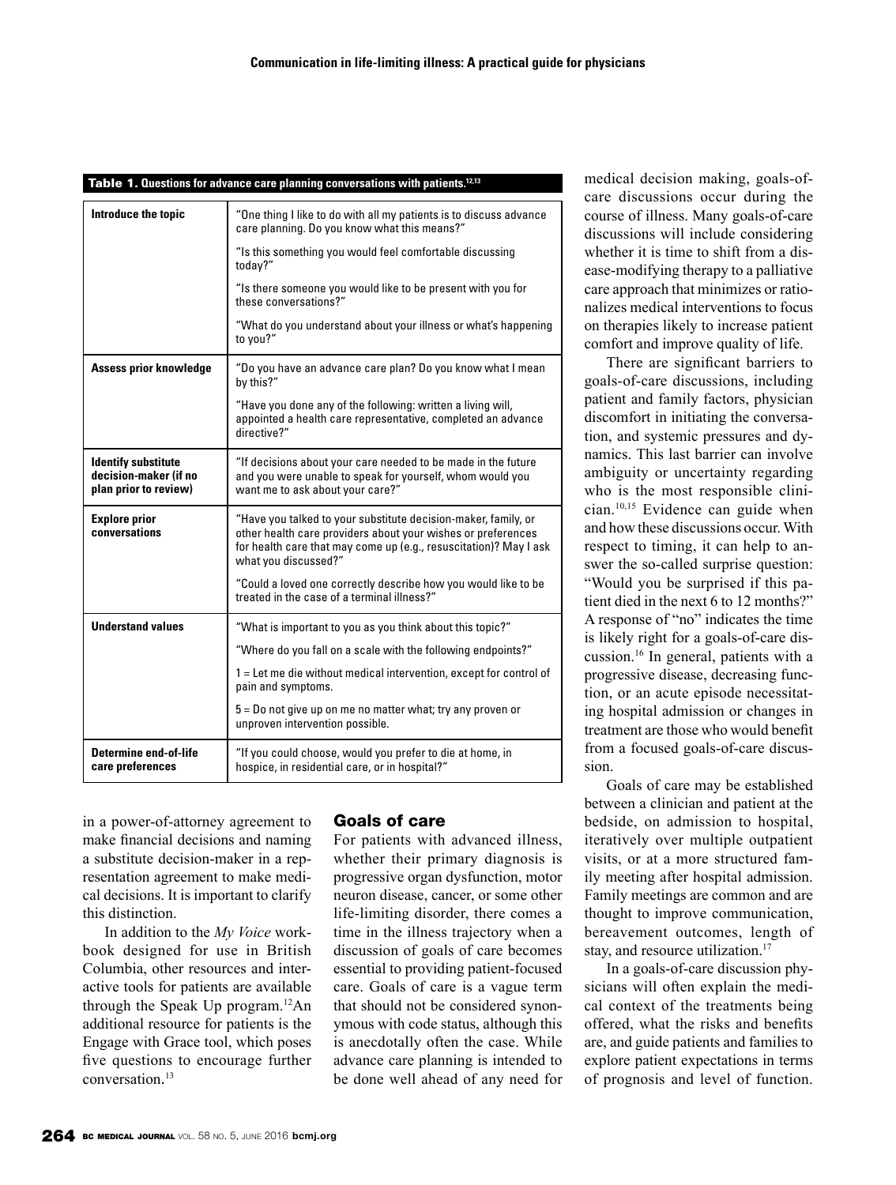| Introduce the topic                                                          | "One thing I like to do with all my patients is to discuss advance<br>care planning. Do you know what this means?"                                                                                                          |
|------------------------------------------------------------------------------|-----------------------------------------------------------------------------------------------------------------------------------------------------------------------------------------------------------------------------|
|                                                                              | "Is this something you would feel comfortable discussing<br>today?"                                                                                                                                                         |
|                                                                              | "Is there someone you would like to be present with you for<br>these conversations?"                                                                                                                                        |
|                                                                              | "What do you understand about your illness or what's happening<br>to you?"                                                                                                                                                  |
| Assess prior knowledge                                                       | "Do you have an advance care plan? Do you know what I mean<br>by this?"                                                                                                                                                     |
|                                                                              | "Have you done any of the following: written a living will,<br>appointed a health care representative, completed an advance<br>directive?"                                                                                  |
| <b>Identify substitute</b><br>decision-maker (if no<br>plan prior to review) | "If decisions about your care needed to be made in the future<br>and you were unable to speak for yourself, whom would you<br>want me to ask about your care?"                                                              |
| <b>Explore prior</b><br>conversations                                        | "Have you talked to your substitute decision-maker, family, or<br>other health care providers about your wishes or preferences<br>for health care that may come up (e.g., resuscitation)? May I ask<br>what you discussed?" |
|                                                                              | "Could a loved one correctly describe how you would like to be<br>treated in the case of a terminal illness?"                                                                                                               |
| <b>Understand values</b>                                                     | "What is important to you as you think about this topic?"                                                                                                                                                                   |
|                                                                              | "Where do you fall on a scale with the following endpoints?"                                                                                                                                                                |
|                                                                              | 1 = Let me die without medical intervention, except for control of<br>pain and symptoms.                                                                                                                                    |
|                                                                              | 5 = Do not give up on me no matter what; try any proven or<br>unproven intervention possible.                                                                                                                               |
| <b>Determine end-of-life</b><br>care preferences                             | "If you could choose, would you prefer to die at home, in<br>hospice, in residential care, or in hospital?"                                                                                                                 |

#### Table 1. **Questions for advance care planning conversations with patients.12,13**

in a power-of-attorney agreement to make financial decisions and naming a substitute decision-maker in a representation agreement to make medical decisions. It is important to clarify this distinction.

In addition to the *My Voice* workbook designed for use in British Columbia, other resources and interactive tools for patients are available through the Speak Up program.12An additional resource for patients is the Engage with Grace tool, which poses five questions to encourage further conversation. 13

### Goals of care

For patients with advanced illness, whether their primary diagnosis is progressive organ dysfunction, motor neuron disease, cancer, or some other life-limiting disorder, there comes a time in the illness trajectory when a discussion of goals of care becomes essential to providing patient-focused care. Goals of care is a vague term that should not be considered synonymous with code status, although this is anecdotally often the case. While advance care planning is intended to be done well ahead of any need for

medical decision making, goals-ofcare discussions occur during the course of illness. Many goals-of-care discussions will include considering whether it is time to shift from a disease-modifying therapy to a palliative care approach that minimizes or rationalizes medical interventions to focus on therapies likely to increase patient comfort and improve quality of life.

There are significant barriers to goals-of-care discussions, including patient and family factors, physician discomfort in initiating the conversation, and systemic pressures and dynamics. This last barrier can involve ambiguity or uncertainty regarding who is the most responsible clinician.10,15 Evidence can guide when and how these discussions occur. With respect to timing, it can help to answer the so-called surprise question: "Would you be surprised if this patient died in the next 6 to 12 months?" A response of "no" indicates the time is likely right for a goals-of-care discussion.16 In general, patients with a progressive disease, decreasing function, or an acute episode necessitating hospital admission or changes in treatment are those who would benefit from a focused goals-of-care discussion.

Goals of care may be established between a clinician and patient at the bedside, on admission to hospital, iteratively over multiple outpatient visits, or at a more structured family meeting after hospital admission. Family meetings are common and are thought to improve communication, bereavement outcomes, length of stay, and resource utilization.<sup>17</sup>

In a goals-of-care discussion physicians will often explain the medical context of the treatments being offered, what the risks and benefits are, and guide patients and families to explore patient expectations in terms of prognosis and level of function.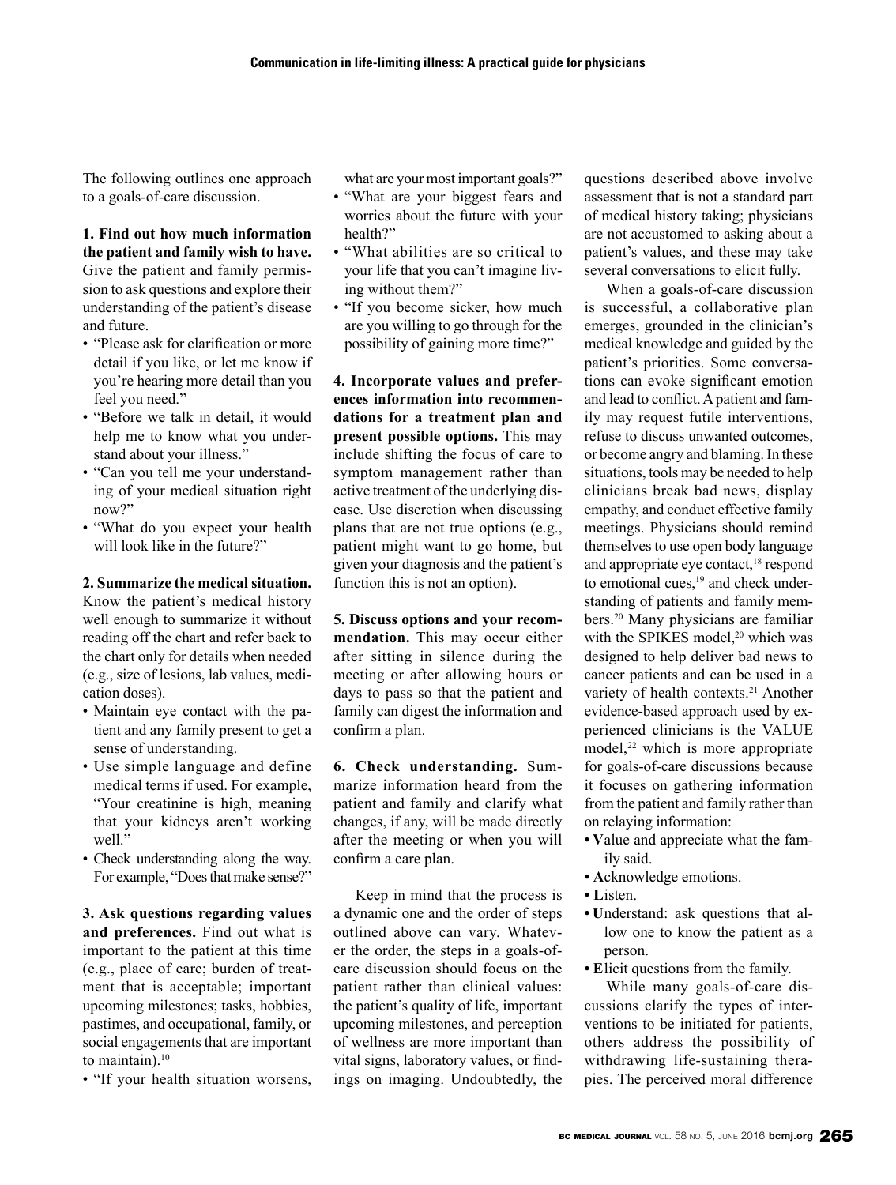The following outlines one approach to a goals-of-care discussion.

#### **1. Find out how much information the patient and family wish to have.**

Give the patient and family permission to ask questions and explore their understanding of the patient's disease and future.

- "Please ask for clarification or more detail if you like, or let me know if you're hearing more detail than you feel you need."
- "Before we talk in detail, it would help me to know what you understand about your illness."
- "Can you tell me your understanding of your medical situation right now?"
- "What do you expect your health will look like in the future?"

### **2. Summarize the medical situation.**

Know the patient's medical history well enough to summarize it without reading off the chart and refer back to the chart only for details when needed (e.g., size of lesions, lab values, medication doses).

- Maintain eye contact with the patient and any family present to get a sense of understanding.
- Use simple language and define medical terms if used. For example, "Your creatinine is high, meaning that your kidneys aren't working well."
- Check understanding along the way. For example, "Does that make sense?"

**3. Ask questions regarding values and preferences.** Find out what is important to the patient at this time (e.g., place of care; burden of treatment that is acceptable; important upcoming milestones; tasks, hobbies, pastimes, and occupational, family, or social engagements that are important to maintain). $10$ 

• "If your health situation worsens,

what are your most important goals?"

- "What are your biggest fears and worries about the future with your health?"
- "What abilities are so critical to your life that you can't imagine living without them?"
- "If you become sicker, how much are you willing to go through for the possibility of gaining more time?"

**4. Incorporate values and preferences information into recommendations for a treatment plan and present possible options.** This may include shifting the focus of care to symptom management rather than active treatment of the underlying disease. Use discretion when discussing plans that are not true options (e.g., patient might want to go home, but given your diagnosis and the patient's function this is not an option).

**5. Discuss options and your recommendation.** This may occur either after sitting in silence during the meeting or after allowing hours or days to pass so that the patient and family can digest the information and confirm a plan.

**6. Check understanding.** Summarize information heard from the patient and family and clarify what changes, if any, will be made directly after the meeting or when you will confirm a care plan.

Keep in mind that the process is a dynamic one and the order of steps outlined above can vary. Whatever the order, the steps in a goals-ofcare discussion should focus on the patient rather than clinical values: the patient's quality of life, important upcoming milestones, and perception of wellness are more important than vital signs, laboratory values, or findings on imaging. Undoubtedly, the questions described above involve assessment that is not a standard part of medical history taking; physicians are not accustomed to asking about a patient's values, and these may take several conversations to elicit fully.

When a goals-of-care discussion is successful, a collaborative plan emerges, grounded in the clinician's medical knowledge and guided by the patient's priorities. Some conversations can evoke significant emotion and lead to conflict. A patient and family may request futile interventions, refuse to discuss unwanted outcomes, or become angry and blaming. In these situations, tools may be needed to help clinicians break bad news, display empathy, and conduct effective family meetings. Physicians should remind themselves to use open body language and appropriate eye contact,<sup>18</sup> respond to emotional cues,<sup>19</sup> and check understanding of patients and family members.20 Many physicians are familiar with the SPIKES model.<sup>20</sup> which was designed to help deliver bad news to cancer patients and can be used in a variety of health contexts.<sup>21</sup> Another evidence-based approach used by experienced clinicians is the VALUE model,<sup>22</sup> which is more appropriate for goals-of-care discussions because it focuses on gathering information from the patient and family rather than on relaying information:

- Value and appreciate what the family said.
- Acknowledge emotions.
- Listen.
- Understand: ask questions that allow one to know the patient as a person.
- Elicit questions from the family.

While many goals-of-care discussions clarify the types of interventions to be initiated for patients, others address the possibility of withdrawing life-sustaining therapies. The perceived moral difference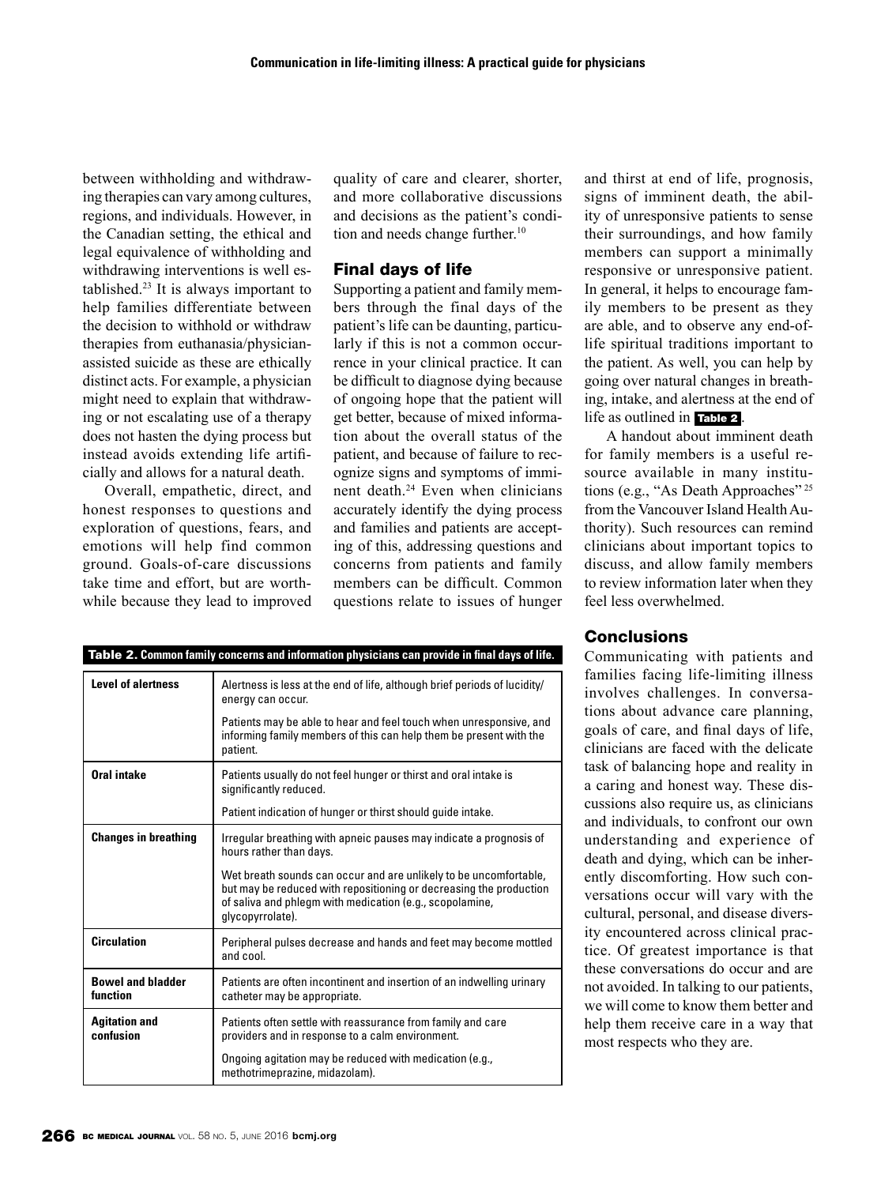between withholding and withdrawing therapies can vary among cultures, regions, and individuals. However, in the Canadian setting, the ethical and legal equivalence of withholding and withdrawing interventions is well established.23 It is always important to help families differentiate between the decision to withhold or withdraw therapies from euthanasia/physicianassisted suicide as these are ethically distinct acts. For example, a physician might need to explain that withdrawing or not escalating use of a therapy does not hasten the dying process but instead avoids extending life artificially and allows for a natural death.

Overall, empathetic, direct, and honest responses to questions and exploration of questions, fears, and emotions will help find common ground. Goals-of-care discussions take time and effort, but are worthwhile because they lead to improved quality of care and clearer, shorter, and more collaborative discussions and decisions as the patient's condition and needs change further.<sup>10</sup>

# Final days of life

Supporting a patient and family members through the final days of the patient's life can be daunting, particularly if this is not a common occurrence in your clinical practice. It can be difficult to diagnose dying because of ongoing hope that the patient will get better, because of mixed information about the overall status of the patient, and because of failure to recognize signs and symptoms of imminent death.24 Even when clinicians accurately identify the dying process and families and patients are accepting of this, addressing questions and concerns from patients and family members can be difficult. Common questions relate to issues of hunger and thirst at end of life, prognosis, signs of imminent death, the ability of unresponsive patients to sense their surroundings, and how family members can support a minimally responsive or unresponsive patient. In general, it helps to encourage family members to be present as they are able, and to observe any end-oflife spiritual traditions important to the patient. As well, you can help by going over natural changes in breathing, intake, and alertness at the end of life as outlined in Table 2 .

A handout about imminent death for family members is a useful resource available in many institutions (e.g., "As Death Approaches"<sup>25</sup> from the Vancouver Island Health Authority). Such resources can remind clinicians about important topics to discuss, and allow family members to review information later when they feel less overwhelmed.

| Table 2. Common family concerns and information physicians can provide in final days of life. |                                                                                                                                                                                                                         |
|-----------------------------------------------------------------------------------------------|-------------------------------------------------------------------------------------------------------------------------------------------------------------------------------------------------------------------------|
| <b>Level of alertness</b>                                                                     | Alertness is less at the end of life, although brief periods of lucidity/<br>energy can occur.                                                                                                                          |
|                                                                                               | Patients may be able to hear and feel touch when unresponsive, and<br>informing family members of this can help them be present with the<br>patient.                                                                    |
| Oral intake                                                                                   | Patients usually do not feel hunger or thirst and oral intake is<br>significantly reduced.                                                                                                                              |
|                                                                                               | Patient indication of hunger or thirst should guide intake.                                                                                                                                                             |
| <b>Changes in breathing</b>                                                                   | Irregular breathing with apneic pauses may indicate a prognosis of<br>hours rather than days.                                                                                                                           |
|                                                                                               | Wet breath sounds can occur and are unlikely to be uncomfortable,<br>but may be reduced with repositioning or decreasing the production<br>of saliva and phlegm with medication (e.g., scopolamine,<br>glycopyrrolate). |
| <b>Circulation</b>                                                                            | Peripheral pulses decrease and hands and feet may become mottled<br>and cool.                                                                                                                                           |
| <b>Bowel and bladder</b><br>function                                                          | Patients are often incontinent and insertion of an indwelling urinary<br>catheter may be appropriate.                                                                                                                   |
| <b>Agitation and</b><br>confusion                                                             | Patients often settle with reassurance from family and care<br>providers and in response to a calm environment.                                                                                                         |
|                                                                                               | Ongoing agitation may be reduced with medication (e.g.,<br>methotrimeprazine, midazolam).                                                                                                                               |

# **Conclusions**

Communicating with patients and families facing life-limiting illness involves challenges. In conversations about advance care planning, goals of care, and final days of life, clinicians are faced with the delicate task of balancing hope and reality in a caring and honest way. These discussions also require us, as clinicians and individuals, to confront our own understanding and experience of death and dying, which can be inherently discomforting. How such conversations occur will vary with the cultural, personal, and disease diversity encountered across clinical practice. Of greatest importance is that these conversations do occur and are not avoided. In talking to our patients, we will come to know them better and help them receive care in a way that most respects who they are.